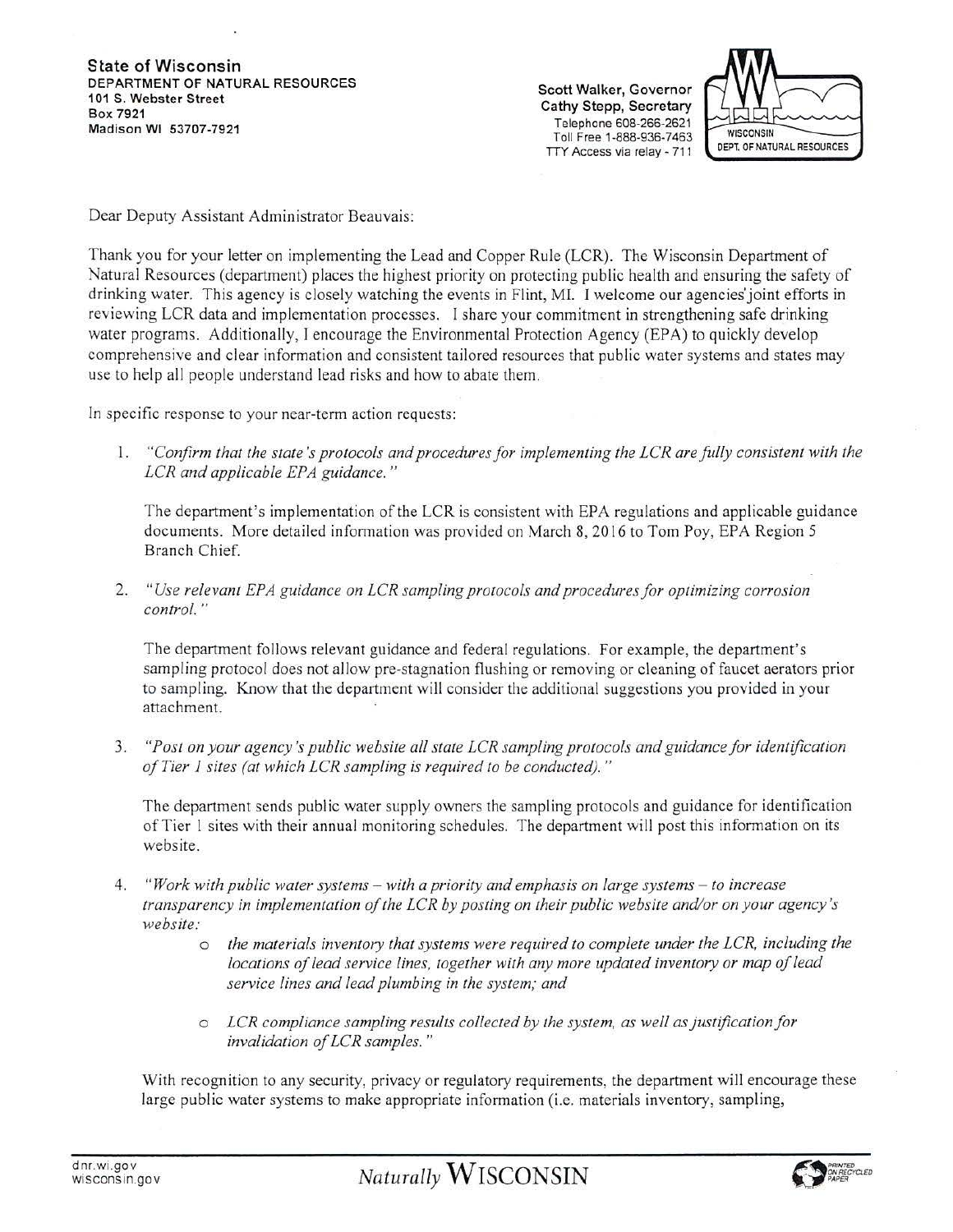State of Wisconsin DEPARTMENT OF NATURAL RESOURCES<br>101 S. Webster Street 101 S. Webster Street<br>
101 Sox 7921<br>
Madison MI 52707 7921<br>
Madison MI 52707 7921 Telephone 608-266-2621 Madison WI 53707-7921 Toll Free 1-888-936-7463



Dear Deputy Assistant Administrator Beauvais:

Thank you for your letter on implementing the Lead and Copper Rule (LCR). The Wisconsin Department of Natural Resources (department) places the highest priority on protecting public health and ensuring the safety of drinking water. This agency is closely watching the events in Flint, MI. I welcome our agencies'joint efforts in reviewing LCR data and implementation processes. I share your commitment in strengthening safe drinking water programs. Additionally, I encourage the Environmental Protection Agency (EPA) to quickly develop comprehensive and clear information and consistent tailored resources that public water systems and states may use to help all people understand lead risks and how to abate them.

In specific response to your near-term action requests:

1. "Confirm that the state's protocols and procedures for implementing the LCR are fully consistent with the *LCR and applicable EPA guidance."* 

The department's implementation of the LCR is consistent with EPA regulations and applicable guidance documents. More detailed information was provided on March 8, 2016 to Tom Poy, EPA Region 5 Branch Chief.

2. *"Use relevant EPA guidance on LCR sampling protocols and procedures for optimizing corrosion control."* 

The department follows relevant guidance and federal regulations. For example, the department's sampling protocol does not allow pre-stagnation flushing or removing or cleaning of faucet aerators prior to sampling. Know that the department will consider the additional suggestions you provided in your attachment.

3. *"Post on your agency's public website all state LCR sampling protocols and guidancefor identification ofTier 1 sites (at which LCR sampling is required to be conducted)."* 

The department sends public water supply owners the sampling protocols and guidance for identification ofTier 1 sites with their annual monitoring schedules. The department will post this information on its website.

- 4. *"Work with public water systems with a priority and emphasis on large systems to increase transparency in implementation ofthe LCR by posting on their public website and/or on your agency 's website:* 
	- o *the materials inventory that systems were required to complete under the LCR. including the locations of lead service lines, together with any more updated inventory or map of lead service lines and lead plumbing in the system; and*
	- o *LCR compliance sampling results collected by the system, as well as justification for invalidation ofLCR samples.* "

With recognition to any security, privacy or regulatory requirements, the department will encourage these large public water systems to make appropriate information (i.e. materials inventory, sampling,